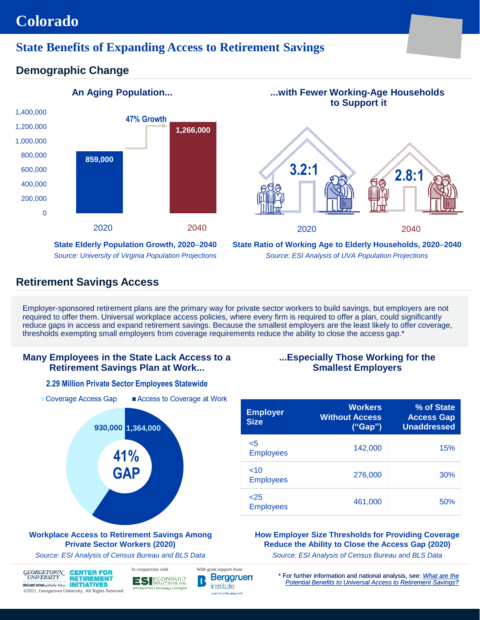## **Colorado**

## **State Benefits of Expanding Access to Retirement Savings**

## **Demographic Change**



# **An Aging Population... ...with Fewer Working-Age Households to Support it**

**3.2:1 2.8:1**

**State Elderly Population Growth, 2020**–**2040** *Source: University of Virginia Population Projections* **State Ratio of Working Age to Elderly Households, 2020**–**2040** *Source: ESI Analysis of UVA Population Projections*

2020 2040

## **Retirement Savings Access**

Coverage Access Gap

Employer-sponsored retirement plans are the primary way for private sector workers to build savings, but employers are not required to offer them. Universal workplace access policies, where every firm is required to offer a plan, could significantly reduce gaps in access and expand retirement savings. Because the smallest employers are the least likely to offer coverage, thresholds exempting small employers from coverage requirements reduce the ability to close the access gap.\*

#### **Many Employees in the State Lack Access to a Retirement Savings Plan at Work...**

#### **...Especially Those Working for the Smallest Employers**

| <b>Employer</b><br><b>Size</b> | <b>Workers</b><br><b>Without Access</b><br>("Gap") | % of State<br><b>Access Gap</b><br><b>Unaddressed</b> |
|--------------------------------|----------------------------------------------------|-------------------------------------------------------|
| $<$ 5<br><b>Employees</b>      | 142,000                                            | 15%                                                   |
| <10<br><b>Employees</b>        | 276,000                                            | 30%                                                   |
| 25<br><b>Employees</b>         | 461,000                                            | 50%                                                   |

#### **How Employer Size Thresholds for Providing Coverage Reduce the Ability to Close the Access Gap (2020)**

*Source: ESI Analysis of Census Bureau and BLS Data*

\* For further information and national analysis, see: *What are the*  **Berggruen** *[Potential Benefits to Universal Access to Retirement Savings?](https://cri.georgetown.edu/wp-content/uploads/2020/12/CRI-ESI-Report-Benefits_of_Universal_Access_FINAL.pdf)*

#### **2.29 Million Private Sector Employees Statewide**



**RETIREMENT** McCourt School of Public Policy **INITIATIVES** ©2021, Georgetown University, All Rights Reserved ES ECONSULT economics | strategy | insight

Access to Coverage at Work

Institute ocas for a changing work